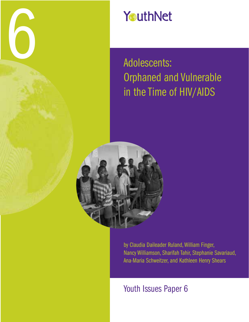

# YouthNet

# Adolescents: Orphaned and Vulnerable in the Time of HIV/AIDS



by Claudia Daileader Ruland, William Finger, Nancy Williamson, Sharifah Tahir, Stephanie Savariaud, Ana-Maria Schweitzer, and Kathleen Henry Shears

Youth Issues Paper 6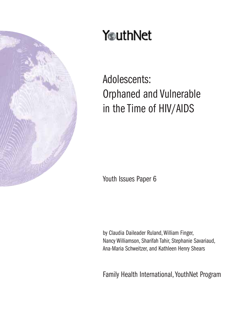

# YouthNet

Adolescents: Orphaned and Vulnerable in the Time of HIV/AIDS

Youth Issues Paper 6

by Claudia Daileader Ruland, William Finger, Nancy Williamson, Sharifah Tahir, Stephanie Savariaud, Ana-Maria Schweitzer, and Kathleen Henry Shears

Family Health International, YouthNet Program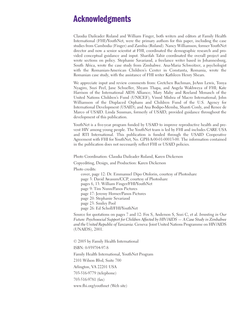## **Acknowledgments**

Claudia Daileader Ruland and William Finger, both writers and editors at Family Health International (FHI)/YouthNet, were the primary authors for this paper, including the case studies from Cambodia (Finger) and Zambia (Ruland). Nancy Williamson, former YouthNet director and now a senior scientist at FHI, coordinated the demographic research and provided conceptual guidance and input. Sharifah Tahir coordinated the overall project and wrote sections on policy. Stephanie Savariaud, a freelance writer based in Johannesburg, South Africa, wrote the case study from Zimbabwe. Ana-Maria Schweitzer, a psychologist with the Romanian-American Children's Center in Constanta, Romania, wrote the Romanian case study, with the assistance of FHI writer Kathleen Henry Shears.

We appreciate input and review comments from: Gretchen Bachman, JoAnn Lewis, Tonya Nyagiro, Suzi Peel, Jane Schueller, Shyam Thapa, and Angela Wakhweya of FHI; Kate Harrison of the International AIDS Alliance; Mary Mahy and Roeland Monasch of the United Nations Children's Fund (UNICEF); Vinod Mishra of Macro International; John Williamson of the Displaced Orphans and Children Fund of the U.S. Agency for International Development (USAID); and Ana Bodipo-Memba, Shanti Conly, and Renee de Marco of USAID. Linda Sussman, formerly of USAID, provided guidance throughout the development of this publication.

YouthNet is a five-year program funded by USAID to improve reproductive health and prevent HIV among young people. The YouthNet team is led by FHI and includes CARE USA and RTI International. This publication is funded through the USAID Cooperative Agreement with FHI for YouthNet, No. GPH-A-00-01-00013-00. The information contained in the publication does not necessarily reflect FHI or USAID policies.

Photo Coordination: Claudia Daileader Ruland, Karen Dickerson

Copyediting, Design, and Production: Karen Dickerson

Photo credits:

cover, page 12: Dr. Emmanuel Dipo Otolorin, courtesy of Photoshare page 3: David Awasum/CCP, courtesy of Photoshare pages 6, 13: William Finger/FHI/YouthNet page 9: Tim Nunn/Panos Pictures page 17: Jeremy Horner/Panos Pictures page 20: Stephanie Sevariaud page 23: Smiley Pool page 26: Ed Scholl/FHI/YouthNet

Source for quotations on pages 7 and 12: Fox S, Anderson S, Sozi C, et al. *Investing in Our Future: Psychosocial Support for Children Affected by HIV/AIDS — A Case Study in Zimbabwe and the United Republic of Tanzania.* Geneva: Joint United Nations Programme on HIV/AIDS (UNAIDS), 2001.

© 2005 by Family Health International ISBN: 0-939704-97-8 Family Health International, YouthNet Program 2101 Wilson Blvd, Suite 700 Arlington, VA 22201 USA 703-516-9779 (telephone) 703-516-9781 (fax) www.fhi.org/youthnet (Web site)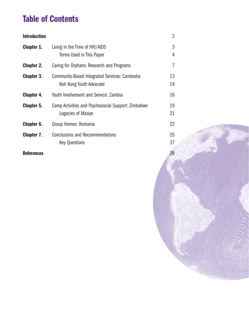# **Table of Contents**

| <b>Introduction</b> |                                                                          | $\overline{2}$ |
|---------------------|--------------------------------------------------------------------------|----------------|
| Chapter 1.          | Living in the Time of HIV/AIDS<br>Terms Used in This Paper               | 3<br>4         |
| <b>Chapter 2.</b>   | Caring for Orphans: Research and Programs                                | 7              |
| <b>Chapter 3.</b>   | Community-Based Integrated Services: Cambodia<br>Koh Kong Youth Advocate | 13<br>14       |
| Chapter 4.          | Youth Involvement and Service: Zambia                                    | 16             |
| Chapter 5.          | Camp Activities and Psychosocial Support: Zimbabwe<br>Legacies of Masiye | 19<br>21       |
| Chapter 6.          | Group Homes: Romania                                                     | 22             |
| Chapter 7.          | <b>Conclusions and Recommendations</b><br><b>Key Questions</b>           | 25<br>27       |
| <b>References</b>   |                                                                          | 28             |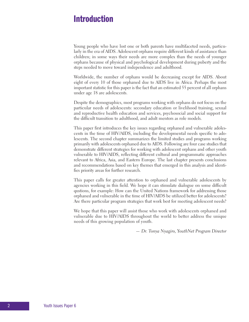## **Introduction**

Young people who have lost one or both parents have multifaceted needs, particularly in the era of AIDS. Adolescent orphans require different kinds of assistance than children; in some ways their needs are more complex than the needs of younger orphans because of physical and psychological development during puberty and the steps needed to move toward independence and adulthood.

Worldwide, the number of orphans would be decreasing except for AIDS. About eight of every 10 of those orphaned due to AIDS live in Africa. Perhaps the most important statistic for this paper is the fact that an estimated 55 percent of all orphans under age 18 are adolescents.

Despite the demographics, most programs working with orphans do not focus on the particular needs of adolescents: secondary education or livelihood training, sexual and reproductive health education and services, psychosocial and social support for the difficult transition to adulthood, and adult mentors as role models.

This paper first introduces the key issues regarding orphaned and vulnerable adolescents in the time of HIV/AIDS, including the developmental needs specific to adolescents. The second chapter summarizes the limited studies and programs working primarily with adolescents orphaned due to AIDS. Following are four case studies that demonstrate different strategies for working with adolescent orphans and other youth vulnerable to HIV/AIDS, reflecting different cultural and programmatic approaches relevant to Africa, Asia, and Eastern Europe. The last chapter presents conclusions and recommendations based on key themes that emerged in this analysis and identifies priority areas for further research.

This paper calls for greater attention to orphaned and vulnerable adolescents by agencies working in this field. We hope it can stimulate dialogue on some difficult qustions, for example: How can the United Nations framework for addressing those orphaned and vulnerable in the time of HIV/AIDS be utilized better for adolescents? Are there particular program strategies that work best for meeting adolescent needs?

We hope that this paper will assist those who work with adolescents orphaned and vulnerable due to HIV/AIDS throughout the world to better address the unique needs of this growing population of youth.

*— Dr. Tonya Nyagiro, YouthNet Program Director*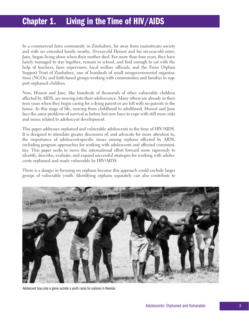# **Chapter 1. Living in the Time of HIV/AIDS**

In a commercial farm community in Zimbabwe, far away from mainstream society and with no extended family nearby, 10-year-old Honest and his six-year-old sister, Jane, began living alone when their mother died. For more than four years, they have barely managed to stay together, remain in school, and find enough to eat with the help of teachers, farm supervisors, local welfare officials, and the Farm Orphan Support Trust of Zimbabwe, one of hundreds of small nongovernmental organizations (NGOs) and faith-based groups working with communities and families to support orphaned children.

Now, Honest and Jane, like hundreds of thousands of other vulnerable children affected by AIDS, are moving into their adolescence. Many others are already in their teen years when they begin caring for a dying parent or are left with no parents in the home. In this stage of life, moving from childhood to adulthood, Honest and Jane face the same problems of survival as before but now have to cope with still more risks and issues related to adolescent development.

This paper addresses orphaned and vulnerable adolescents in the time of HIV/AIDS. It is designed to stimulate greater discussion of, and advocate for more attention to, the importance of adolescent-specific issues among orphans affected by AIDS, including program approaches for working with adolescents and affected communities. This paper seeks to move the international effort forward more rigorously to identify, describe, evaluate, and expand successful strategies for working with adolescents orphaned and made vulnerable by HIV/AIDS.

There is a danger in focusing on orphans because this approach could exclude larger groups of vulnerable youth. Identifying orphans separately can also contribute to



Adolescent boys play a game outside a youth camp for orphans in Rwanda.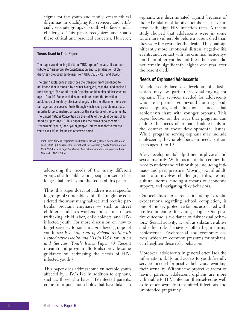stigma for the youth and family, create ethical dilemmas in qualifying for services, and artificially separate groups of youth who face similar challenges. This paper recognizes and shares these ethical and practical concerns. However,

### **Terms Used in This Paper**

The paper avoids using the term "AIDS orphan" because it can contribute to "inappropriate categorization and stigmatization of children," say proposed guidelines from UNAIDS, UNICEF, and USAID.\*

The term "adolescence" describes the transition from childhood to adulthood that is marked by distinct biological, cognitive, and sociocultural changes. The World Health Organization identifies adolescence as ages 10 to 19. Some societies and cultures mark the transition to adulthood not solely by physical changes or by the attainment of a certain age but by specific rituals through which young people must pass in order to be considered an adult by the standards of the community. The United Nations Convention on the Rights of the Child defines childhood as up to age 18. This paper uses the terms "adolescents," "teenagers," "youth," and "young people" interchangeably to refer to youth ages 10 to 19, unless otherwise noted.

\* Joint United Nations Programme on HIV/AIDS (UNAIDS), United Nations Children's Fund (UNICEF), U.S. Agency for International Development (USAID). *Children on the Brink 2004: A Joint Report of New Orphan Estimates and a Framework for Action.* New York: UNICEE 2004

addressing the needs of the many different groups of vulnerable young people presents challenges that are beyond the scope of this paper.

Thus, this paper does not address issues specific to groups of vulnerable youth that might be considered the most marginalized and require particular program emphases — such as street children, child sex workers and victims of sex trafficking, child labor, child soldiers, and HIVinfected youth. For more discussion on how to target services to such marginalized groups of youth, see *Reaching Out of School Youth with Reproductive Health and HIV/AIDS Information and Services. Youth Issues Paper 4*.1 Recent research and program efforts also provide some guidance on addressing the needs of HIVinfected youth.2

This paper does address some vulnerable youth affected by HIV/AIDS in addition to orphans, such as those who have HIV-infected parents, come from poor households that have taken in orphans, are discriminated against because of the HIV status of family members, or live in areas with high HIV infection rates. A recent study showed that adolescents were in some ways more vulnerable before a parent died than they were the year after the death. They had significantly more emotional distress, negative life events, and contact with the criminal justice system than other youths, but these behaviors did not remain significantly higher one year after the parent died.3

### **Needs of Orphaned Adolescents**

All adolescents face key developmental tasks, which may be particularly challenging for orphans. The services needed for adolescents who are orphaned go beyond housing, food, social supports, and education — needs that adolescents share with younger orphans. This paper focuses on the ways that programs can address the needs of orphaned adolescents in the context of these developmental issues. While programs serving orphans may include adolescents, they rarely focus on needs particular to ages 10 to 19.

A key developmental adjustment is physical and sexual maturity. With this maturation comes the need to understand relationships, including intimacy and peer pressure. Moving toward adulthood also involves challenging rules, testing cultural norms, finding a means of economic support, and navigating risky behaviors.

Connectedness to parents, including parental expectations regarding school completion, is one of the key protective factors associated with positive outcomes for young people. One positive outcome is avoidance of risky sexual behaviors.4 Sexual activity, as well as substance abuse and other risky behaviors, often begin during adolescence. Psychosocial and economic distress, which are common pressures for orphans, can heighten these risky behaviors.

Moreover, adolescents in general often lack the information, skills, and access to youth-friendly services needed for positive behaviors regarding their sexuality. Without the protective factor of having parents, adolescent orphans are more vulnerable to HIV infection themselves, as well as to other sexually transmitted infections and unintended pregnancy.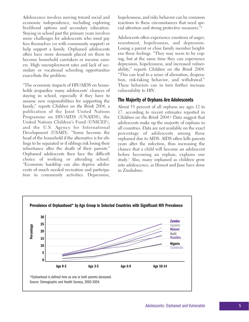Adolescence involves moving toward social and economic independence, including exploring livelihood options and secondary education. Staying in school past the primary years involves more challenges for adolescents who must pay fees themselves (or with community support) or help support a family. Orphaned adolescents often have more demands placed on them to become household caretakers or income earners. High unemployment rates and lack of secondary or vocational schooling opportunities exacerbate the problem.

"The economic impacts of HIV/AIDS on households jeopardize many adolescents' chances of staying in school, especially if they have to assume new responsibilities for supporting the family," reports *Children on the Brink 2004*, a publication of the Joint United Nations Programme on HIV/AIDS (UNAIDS), the United Nations Children's Fund (UNICEF), and the U.S. Agency for International Development (USAID). "Some become the head of the household if the alternative is for siblings to be separated or if siblings risk losing their inheritance after the death of their parents." Orphaned adolescents then face the difficult choice of working or attending school. "Economic hardship can also deprive adolescents of much needed recreation and participation in community activities. Depression,

hopelessness, and risky behavior can be common reactions to these circumstances that need special attention and strong protective measures."5

Adolescents often experience emotions of anger, resentment, hopelessness, and depression. Losing a parent or close family member heightens these feelings. "They may seem to be coping, but at the same time they can experience depression, hopelessness, and increased vulnerability," reports *Children on the Brink 2004*. "This can lead to a sense of alienation, desperation, risk-taking behavior, and withdrawal." These behaviors can in turn further increase vulnerability to HIV.

### **The Majority of Orphans Are Adolescents**

About 55 percent of all orphans are ages 12 to 17, according to recent estimates reported in *Children on the Brink 2004*.6 Data suggest that adolescents make up the majority of orphans in all countries. Data are not available on the exact percentage of adolescents among those orphaned due to AIDS. AIDS often kills parents years after the infection, thus increasing the chance that a child will become an adolescent before becoming an orphan, explains one study.7 Also, many orphaned as children grow into adolescence, as Honest and Jane have done in Zimbabwe.

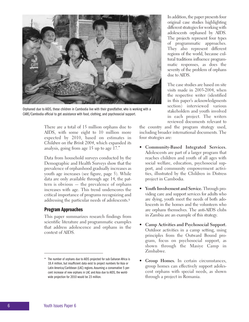

Orphaned due to AIDS, these children in Cambodia live with their grandfather, who is working with a CARE/Cambodia official to get assistance with food, clothing, and psychosocial support.

There are a total of 15 million orphans due to AIDS, with some eight to 10 million more expected by 2010, based on estimates in *Children on the Brink 2004*, which expanded its analysis, going from age 15 up to age 17.\*

Data from household surveys conducted by the Demographic and Health Surveys show that the prevalence of orphanhood gradually increases as youth age increases (see figure, page 5). While data are only available through age 14, the pattern is obvious — the prevalence of orphans increases with age. This trend underscores the critical importance of programs recognizing and addressing the particular needs of adolescents.8

### **Program Approaches**

This paper summarizes research findings from scientific literature and programmatic examples that address adolescence and orphans in the context of AIDS.

In addition, the paper presents four original case studies highlighting different strategies for working with adolescents orphaned by AIDS. The projects represent four types of programmatic approaches. They also represent different regions of the world, because cultural traditions influence programmatic responses, as does the severity of the problem of orphans due to AIDS.

The case studies are based on site visits made in 2003-2004, when the respective writer (identified in this paper's acknowledgments section) interviewed various stakeholders and youth involved in each project. The writers reviewed documents relevant to

the country and the program strategy used, including broader international documents. The four strategies are:

- **Community-Based Integrated Services.** Adolescents are part of a larger program that reaches children and youth of all ages with social welfare, education, psychosocial support, and community empowerment activities, illustrated by the Children in Distress project in Cambodia.
- **Youth Involvement and Service.** Through providing care and support services for adults who are dying, youth meet the needs of both adolescents in the homes and the volunteers who are orphans themselves. The anti-AIDS clubs in Zambia are an example of this strategy.
- **Camp Activities and Psychosocial Support.** Outdoor activities in a camp setting, using principles from the Outward Bound program, focus on psychosocial support, as shown through the Masiye Camp in Zimbabwe.
- **Group Homes.** In certain circumstances, group homes can effectively support adolescent orphans with special needs, as shown through a project in Romania.

<sup>\*</sup> The number of orphans due to AIDS projected for sub-Saharan Africa is 18.4 million, but insufficient data exist to project numbers for Asia or Latin America/Caribbean (LAC) regions. Assuming a conservative 5 percent increase of new orphans in LAC and Asia due to AIDS, the worldwide projection for 2010 would be 23 million.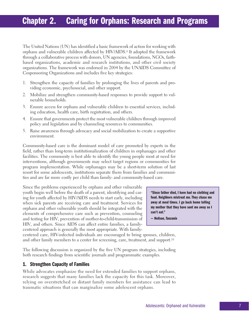# **Chapter 2. Caring for Orphans: Research and Programs**

The United Nations (UN) has identified a basic framework of action for working with orphans and vulnerable children affected by HIV/AIDS.9 It adopted the framework through a collaborative process with donors, UN agencies, foundations, NGOs, faithbased organizations, academic and research institutions, and other civil society organizations. The framework was endorsed in 2004 by the UNAIDS Committee of Cosponsoring Organizations and includes five key strategies:

- 1. Strengthen the capacity of families by prolonging the lives of parents and providing economic, psychosocial, and other support.
- 2. Mobilize and strengthen community-based responses to provide support to vulnerable households.
- 3. Ensure access for orphans and vulnerable children to essential services, including education, health care, birth registration, and others.
- 4. Ensure that governments protect the most vulnerable children through improved policy and legislation and by channeling resources to communities.
- 5. Raise awareness through advocacy and social mobilization to create a supportive environment.

Community-based care is the dominant model of care promoted by experts in the field, rather than long-term institutionalization of children in orphanages and other facilities. The community is best able to identify the young people most at need for interventions, although governments may select target regions or communities for program implementation. While orphanages may be a short-term solution of last resort for some adolescents, institutions separate them from families and communities and are far more costly per child than family- and community-based care.

Since the problems experienced by orphans and other vulnerable youth begin well before the death of a parent, identifying and caring for youth affected by HIV/AIDS needs to start early, including when sick parents are receiving care and treatment. Services for orphans and other vulnerable youth should be integrated with the elements of comprehensive care such as prevention, counseling and testing for HIV, prevention of mother-to-child-transmission of HIV, and others. Since AIDS can affect entire families, a familycentered approach is generally the most appropriate. With family-

**"Since father died, I have had no clothing and food. Neighbors mistreat me. They chase me away at meal times. I go back home telling my mother that they have sent me away so I can't eat."**

*— Nelison, Tanzania*

centered care, HIV-infected individuals are encouraged to bring spouses, children, and other family members to a center for screening, care, treatment, and support.10

The following discussion is organized by the five UN program strategies, including both research findings from scientific journals and programmatic examples.

### **1. Strengthen Capacity of Families**

While advocates emphasize the need for extended families to support orphans, research suggests that many families lack the capacity for this task. Moreover, relying on overstretched or distant family members for assistance can lead to traumatic situations that can marginalize some adolescent orphans.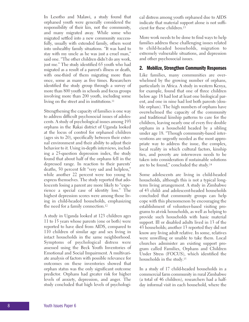In Lesotho and Malawi, a study found that orphaned youth were generally considered the responsibility of their kin, not the community, and many migrated away. While some who migrated settled into a new community successfully, usually with extended family, others went into unhealthy family situations. "It was hard to stay with my uncle as he was just a cruel man," said one. "The other children didn't do any work, just me." The study identified 65 youth who had migrated as a result of a parent's illness or death, with one-third of them migrating more than once, some as many as five times. Researchers identified the study group through a survey of more than 800 youth in schools and focus groups involving more than 200 youth, including some living on the street and in institutions.<sup>11</sup>

Strengthening the capacity of families is one way to address difficult psychosocial issues of adolescents. A study of psychological issues among 193 orphans in the Rakai district of Uganda looked at the locus of control for orphaned children (ages six to 20), specifically between their external environment and their ability to adjust their behavior to it. Using in-depth interviews, including a 25-question depression index, the study found that about half of the orphans fell in the depressed range. In reaction to their parents' deaths, 50 percent felt "very sad and helpless," while another 22 percent were too young to express themselves. The study reported that adolescents losing a parent are more likely to "experience a special case of identity loss." The highest depression scores were among those living in child-headed households, emphasizing the need for a family connection.12

A study in Uganda looked at 123 children ages 11 to 15 years whose parents (one or both) were reported to have died from AIDS, compared to 110 children of similar age and sex living in intact households in the same neighborhood. Symptoms of psychological distress were assessed using the Beck Youth Inventories of Emotional and Social Impairment. A multivariate analysis of factors with possible relevance for outcomes on these inventories showed that orphan status was the only significant outcome predictor. Orphans had greater risk for higher levels of anxiety, depression, and anger. The study concluded that high levels of psychological distress among youth orphaned due to AIDS indicate that material support alone is not sufficient for these children.13

More work needs to be done to find ways to help families address these challenging issues related to child-headed households, migration to extremely vulnerable situations, and depression and other psychosocial issues.

### **2. Mobilize, Strengthen Community Responses**

Like families, many communities are overwhelmed by the growing number of orphans, particularly in Africa. A study in western Kenya, for example, found that one of three children below age 18 had lost at least one biological parent, and one in nine had lost both parents (double orphan). The high numbers of orphans have overwhelmed the capacity of the community and traditional kinship patterns to care for the children, leaving nearly one of every five double orphans in a household headed by a sibling under age 18. "Though community-based interventions are urgently needed as the most appropriate way to address the issue, the complex, local reality in which cultural factors, kinship ties, and poverty are interwoven needs to be taken into consideration if sustainable solutions are to be found," concluded the study.14

Some adolescents are living in child-headed households, although this is not a typical longterm living arrangement. A study in Zimbabwe of 43 child- and adolescent-headed households concluded that community groups can help cope with this phenomenon by encouraging the establishment of volunteer-based visiting programs to at-risk households, as well as helping to provide such households with basic material support. Ill or disabled adults lived in 13 of the 43 households; another 13 reported they did not know any living adult relative. In some, relatives were unwilling or unable to take them. Local churches administer an existing support program called Families, Orphans and Children Under Stress (FOCUS), which identified the households in the study.15

In a study of 17 child-headed households in a commercial farm community in rural Zimbabwe (a total of 46 children), researchers had a halfday informal visit in each household, where the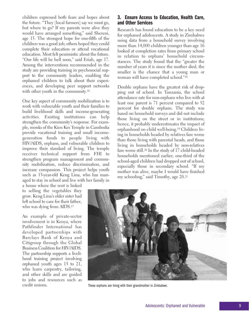children expressed both fears and hopes about the future. "They [local farmers] say we must go, but where to go? If my parents were alive they would have arranged something," said Shereni, age 15. The strongest hope for one-fifth of the children was a good job; others hoped they could complete their education or attend vocational education. Most felt pessimistic about the future. "Our life will be hell soon," said Eriah, age 17. Among the interventions recommended in the study are providing training in psychosocial support to the community leaders, enabling the orphaned children to talk about their experiences, and developing peer support networks with other youth in the community.<sup>16</sup>

One key aspect of community mobilization is to work with vulnerable youth and their families to build livelihood skills and income-generating activities. Existing institutions can help strengthen the community's response. For example, monks of the Kien Kes Temple in Cambodia provide vocational training and small incomegeneration funds to people living with HIV/AIDS, orphans, and vulnerable children to improve their standard of living. The temple receives technical support from FHI to strengthen program management and community mobilization, reduce discrimination, and increase compassion. This project helps youth such as 13-year-old Keng Lina, who has managed to stay in school and live with her family in

a house where the rent is linked to selling the vegetables they grow. Keng Lina's older sister had left school to care for their father, who was dying from AIDS.<sup>17</sup>

An example of private-sector involvement is in Kenya, where Pathfinder International has developed partnerships with Barclays Bank of Kenya and Citigroup through the Global Business Coalition for HIV/AIDS. The partnership supports a livelihood training project involving orphaned youth ages 15 to 21, who learn carpentry, tailoring, and other skills and are guided to jobs and resources such as credit unions.

### **3. Ensure Access to Education, Health Care, and Other Services**

Research has found education to be a key need for orphaned adolescents. A study in Zimbabwe using data from a household survey involving more than 14,000 children younger than age 16 looked at completion rates from primary school in relation to orphans' household circumstances. The study found that the "greater the number of years it is since the mother died, the smaller is the chance that a young man or woman will have completed school."18

Double orphans have the greatest risk of dropping out of school. In Tanzania, the school attendance rate for non-orphans who live with at least one parent is 71 percent compared to 52 percent for double orphans. The study was based on household surveys and did not include those living on the street or in institutions; hence, it probably underestimates the impact of orphanhood on child well-being.19 Children living in households headed by relatives fare worse than those living with parental heads, and those living in households headed by non-relatives fare worse still.20 In the study of 17 child-headed households mentioned earlier, one-third of the school-aged children had dropped out of school, especially those in secondary school. "If my mother was alive, maybe I would have finished my schooling," said Timothy, age 20.21



These orphans are living with their grandmother in Zimbabwe.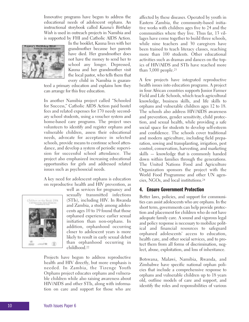Innovative programs have begun to address the educational needs of adolescent orphans. An instructional storybook called *Kauna's Birthday Wish* is used in outreach projects in Namibia and is supported by FHI and Catholic AIDS Action.



In the booklet, Kauna lives with her grandmother because her parents have died. Her grandmother does not have the money to send her to school any longer. Depressed, Kauna and her grandmother visit the local pastor, who tells them that every child in Namibia is guaran-

teed a primary education and explains how they can arrange for this free education.

In another Namibia project called "Schooled for Success," Catholic AIDS Action paid hostel fees and related expenses for 170 needy secondary school students, using a voucher system and home-based care programs. The project uses volunteers to identify and register orphans and vulnerable children, assess their educational needs, advocate for acceptance in selected schools, provide means to continue school attendance, and develop a system of periodic supervision for successful school attendance. The project also emphasized increasing educational opportunities for girls and addressed related issues such as psychosocial needs.

A key need for adolescent orphans is education on reproductive health and HIV prevention, as



well as services for pregnancy and sexually transmitted infections (STIs), including HIV. In Rwanda and Zambia, a study among adolescents ages 10 to 19 found that those orphaned experience earlier sexual initiation than non-orphans. In addition, orphanhood occurring closer to adolescent years is more likely to result in early sexual debut than orphanhood occurring in childhood.22

Projects have begun to address reproductive health and HIV directly, but more emphasis is needed. In Zambia, the Tizenge Youth Orphans project educates orphans and vulnerable children while also raising awareness about HIV/AIDS and other STIs, along with information on care and support for those who are affected by these diseases. Operated by youth in Eastern Zambia, the community-based initiative works with children ages five to 24 and the communities where they live. Thus far, 13 villages have come together to build three schools, while nine teachers and 30 caregivers have been trained to teach literacy classes, reaching more than 100 students. Other educational activities such as dramas and dances on the topics of HIV/AIDS and STIs have reached more than  $3,000$  people.<sup>23</sup>

A few projects have integrated reproductive health issues into education programs. A project in four African countries supports Junior Farmer Field and Life Schools, which teach agricultural knowledge, business skills, and life skills to orphans and vulnerable children ages 12 to 18. The schools also address HIV/AIDS awareness and prevention, gender sensitivity, child protection, and sexual health, while providing a safe social space for students to develop self-esteem and confidence. The schools cover traditional and modern agriculture, including field preparation, sowing and transplanting, irrigation, pest control, conservation, harvesting, and marketing skills — knowledge that is commonly handed down within families through the generations. The United Nations Food and Agriculture Organization sponsors the project with the World Food Programme and other UN agencies, NGOs, and local institutions.24

### **4. Ensure Government Protection**

Better laws, policies, and support for communities can assist adolescents who are orphans. In the short term, governments can help provide protection and placement for children who do not have adequate family care. A sound and vigorous legal and policy response is necessary to mobilize political and financial resources to safeguard orphaned adolescents' access to education, health care, and other social services, and to protect them from all forms of discrimination, neglect, abuse, exploitation, and loss of inheritance.

Botswana, Malawi, Namibia, Rwanda, and Zimbabwe have specific national orphan policies that include a comprehensive response to orphans and vulnerable children up to 18 years old, outline models of care and support, and identify the roles and responsibilities of various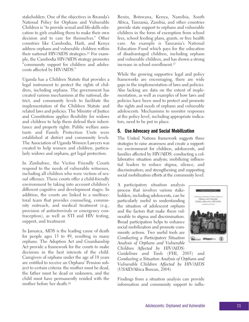stakeholders. One of the objectives in Rwanda's National Policy for Orphans and Vulnerable Children is "to provide sexual and life-skills education to girls enabling them to make their own decision and to care for themselves." Other countries like Cambodia, Haiti, and Kenya address orphans and vulnerable children within their national HIV/AIDS strategies.25 For example, the Cambodia HIV/AIDS strategy promotes "community support for children and adolescents affected by HIV/AIDS."

Uganda has a Children Statute that provides a legal instrument to protect the rights of children, including orphans. The government has created various mechanisms at the national, district, and community levels to facilitate the implementation of the Children Statute and related laws and policies. The Ministry of Justice and Constitution applies flexibility for widows and children to help them defend their inheritance and property rights. Public welfare assistants and Family Protection Units were established at district and community levels. The Association of Uganda Women Lawyers was created to help women and children, particularly widows and orphans, get legal protection.

In Zimbabwe, the Victim Friendly Courts respond to the needs of vulnerable witnesses, including all children who were victims of sexual offenses. These courts offer a child-friendly environment by taking into account children's different cognitive and development stages. In addition, the courts are linked to a multisectoral team that provides counseling, community outreach, and medical treatment (e.g., provision of antiretrovirals or emergency contraception), as well as STI and HIV testing, support, and treatment.

In Jamaica, AIDS is the leading cause of death for people ages 15 to 49, resulting in many orphans. The Adoption Act and Guardianship Act provide a framework for the courts to make decisions in the best interests of the child. Caregivers of orphans under the age of 18 years are entitled to receive an Orphans' Pension subject to certain criteria: the mother must be dead, the father must be dead or unknown, and the child must have permanently resided with the mother before her death.26

Benin, Botswana, Kenya, Namibia, South Africa, Tanzania, Zambia, and other countries provide state support to orphans and vulnerable children in the form of exemption from school fees, school feeding plans, grants, or free health care. An example is Tanzania's National Education Fund which pays for the education of disadvantaged children, including orphans and vulnerable children, and has shown a strong increase in school enrollment.27

While the growing supportive legal and policy frameworks are encouraging, there are wide gaps in the implementation of laws and policies. Also lacking are data on the extent of implementation, as well as examples of how laws and policies have been used to protect and promote the rights and needs of orphans and vulnerable adolescents. Mechanisms to monitor responses at the policy level, including appropriate indicators, need to be put in place.

### **5. Use Advocacy and Social Mobilization**

The United Nations framework suggests three strategies to raise awareness and create a supportive environment for children, adolescents, and families affected by HIV/AIDS: conducting a collaborative situation analysis; mobilizing influential leaders to reduce stigma, silence, and discrimination; and strengthening and supporting social mobilization efforts at the community level.

A participatory situation analysis process that involves various stakeholders, including adolescents, can be particularly useful in understanding the situation of adolescent orphans and the factors that make them vulnerable to stigma and discrimination. Broad participation helps to enhance social mobilization and promote community actions. Two useful tools are *Conducting a Participatory Situation Analysis of Orphans and Vulnerable Children Affected by HIV/AIDS:*



*Guidelines and Tools* (FHI, 2005) and *Conducting a Situation Analysis of Orphans and Vulnerable Children Affected by HIV/AIDS* (USAID/Africa Bureau, 2004).

Findings from a situation analysis can provide information and community support to influ-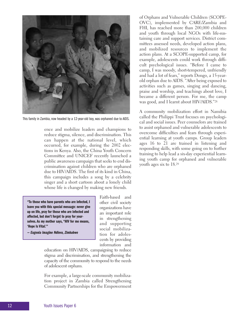

This family in Zambia, now headed by a 12-year-old boy, was orphaned due to AIDS.

ence and mobilize leaders and champions to reduce stigma, silence, and discrimination. This can happen at the national level, which occurred, for example, during the 2002 elections in Kenya. Also, the China Youth Concern Committee and UNICEF recently launched a public awareness campaign that seeks to end discrimination against children who are orphaned due to HIV/AIDS. The first of its kind in China, this campaign includes a song by a celebrity singer and a short cartoon about a lonely child whose life is changed by making new friends.

**"To those who have parents who are infected, I leave you with this special message: never give up on life, pray for those who are infected and affected, but don't forget to pray for yourselves. As my mother says, "HIV for me means, 'Hope Is Vital.'"**

*— Eugenia Imagine Ndlovu, Zimbabwe*

Faith-based and other civil society organizations have an important role in strengthening and supporting social mobilization for adolescents by providing information and

education on HIV/AIDS, campaigning to reduce stigma and discrimination, and strengthening the capacity of the community to respond to the needs of adolescent orphans.

For example, a large-scale community mobilization project in Zambia called Strengthening Community Partnerships for the Empowerment of Orphans and Vulnerable Children (SCOPE-OVC), implemented by CARE/Zambia and FHI, has reached more than 200,000 children and youth through local NGOs with life-sustaining care and support services. District committees assessed needs, developed action plans, and mobilized resources to implement the action plans. At a SCOPE-supported camp, for example, adolescents could work through difficult psychological issues. "Before I came to camp, I was moody, short-tempered, unfriendly and had a lot of fears," reports Dongo, a 15-yearold orphan due to AIDS. "After being exposed to activities such as games, singing and dancing, praise and worship, and teachings about love, I became a different person. For me, the camp was good, and I learnt about HIV/AIDS."28

A community mobilization effort in Namibia called the Philippi Trust focuses on psychological and social issues. Peer counselors are trained to assist orphaned and vulnerable adolescents to overcome difficulties and fears through experiential learning at youth camps. Group leaders ages 16 to 21 are trained in listening and responding skills, with some going on to further training to help lead a six-day experiential learning youth camp for orphaned and vulnerable youth ages six to 18.29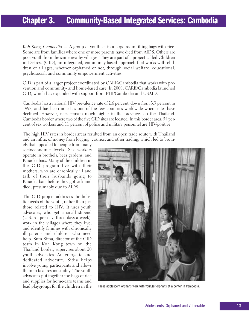# **Chapter 3. Community-Based Integrated Services: Cambodia**

*Koh Kong, Cambodia* — A group of youth sit in a large room filling bags with rice. Some are from families where one or more parents have died from AIDS. Others are poor youth from the same nearby villages. They are part of a project called Children in Distress (CID), an integrated, community-based approach that works with children of all ages, whether orphaned or not, through social welfare, educational, psychosocial, and community empowerment activities.

CID is part of a larger project coordinated by CARE/Cambodia that works with prevention and community- and home-based care. In 2000, CARE/Cambodia launched CID, which has expanded with support from FHI/Cambodia and USAID.

Cambodia has a national HIV prevalence rate of 2.6 percent, down from 3.3 percent in 1998, and has been noted as one of the few countries worldwide where rates have declined. However, rates remain much higher in the provinces on the Thailand-Cambodia border where two of the five CID sites are located. In this border area, 54 percent of sex workers and 11 percent of police and military personnel are HIV-positive.

The high HIV rates in border areas resulted from an open trade route with Thailand and an influx of money from logging, casinos, and other trading, which led to broth-

els that appealed to people from many socioeconomic levels. Sex workers operate in brothels, beer gardens, and Karaoke bars. Many of the children in the CID program live with their mothers, who are chronically ill and talk of their husbands going to Karaoke bars before they got sick and died, presumably due to AIDS.

The CID project addresses the holistic needs of the youth, rather than just those related to HIV. It uses youth advocates, who get a small stipend (U.S. \$1 per day, three days a week), work in the villages where they live, and identify families with chronically ill parents and children who need help. Sum Sitha, director of the CID team in Koh Kong town on the Thailand border, supervises about 20 youth advocates. An energetic and dedicated advocate, Sitha helps involve young participants and allows them to take responsibility. The youth advocates put together the bags of rice and supplies for home-care teams and lead playgroups for the children in the



These adolescent orphans work with younger orphans at a center in Cambodia.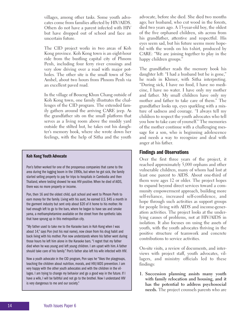villages, among other tasks. Some youth advocates come from families affected by HIV/AIDS. Others do not have a parent infected with HIV but have dropped out of school and face an uncertain future.

The CID project works in two areas of Koh Kong province. Koh Kong town is an eight-hour ride from the bustling capital city of Phnom Penh, including four ferry river crossings and very slow driving over a road with major potholes. The other site is the small town of Sre Ambel, about two hours from Phnom Penh via an excellent paved road.

In the village of Boueng Khun Chang outside of Koh Kong town, one family illustrates the challenges of the CID program. The extended family gathers around the arriving CARE jeep. As the grandfather sits on the small platform that serves as a living room above the muddy yard outside the stilted hut, he takes out his daughter's memory book, where she wrote down her feelings, with the help of Sitha and the youth

### **Koh Kong Youth Advocate**

Pon's father worked for one of the prosperous companies that came to the area during the logging boom in the 1990s, but when he got sick, the family started selling property to pay for trips to hospitals in Cambodia and then Thailand, where testing showed he was HIV-positive. When he died of AIDS, there was no more property or income.

Pon, then 16 and the oldest child, quit school and went to Phnom Penh to earn money for the family. Living with his aunt, he earned U.S. \$45 a month in the garment industry but sent only about \$20 of it home to his mother. He had enough left to go to the bars, where he began to have sex and smoke yama, a methamphetamine available on the street from the synthetic labs that have sprung up in this metropolitan city.

"My father used to take me to the Karaoke bars in Koh Kong when I was about 14," says Pon (not his real name), now clean from his drug habit and back living with his mother. Pon now understands where his father went during those hours he left him alone in the Karaoke bars. "I regret that my father died when he was young and left young children. I am upset with him. A father should take care of his family." Pon's father also left his wife infected with HIV.

Now a youth advocate in the CID program, Pon says he "likes the playgroups, teaching the children about nutrition, morals, and HIV/AIDS prevention. I am very happy with the other youth advocates and with the children in the villages. I am trying to change my behavior and go a good way in the future. If I have a wife, I will be faithful and not go to the brothel. Now I understand HIV is very dangerous to me and our society."

advocate, before she died. She died two months ago; her husband, who cut wood in the forests, died two years ago. A 13-year-old boy, the oldest of the five orphaned children, sits across from his grandfather, attentive and respectful. His eyes seem sad, but his future seems more hopeful with the words on his t-shirt, produced by CARE: "We are joining together to play in the happy children groups."

The grandfather reads the memory book his daughter left: "I had a husband but he is gone," he reads in Khmer, with Sitha interpreting. "During sick, I have no food, I have no medicine, I have no water. I have only my mother and father. My small children have only my mother and father to take care of them." The grandfather looks up, eyes sparkling with a mixture of sadness and courage. "I always tell my children to respect the youth advocates who tell you how to take care of yourself." The memories of the mother continue with a challenging message for a son, who is beginning adolescence and needs a way to recognize and deal with anger at his father.

### **Findings and Observations**

Over the first three years of the project, it reached approximately 5,000 orphans and other vulnerable children, many of whom had lost at least one parent to AIDS. About one-third of them were ages 12 or older. The project hopes to expand beyond direct services toward a community empowerment approach, building more self-reliance, increased self-confidence, and hope through such activities as support groups for people living with AIDS and income-generation activities. The project looks at the underlying causes of problems, not at HIV/AIDS in isolation. It also focuses on using the assets of youth, with the youth advocates thriving in the positive structure of teamwork and concrete contributions to service activities.

On-site visits, a review of documents, and interviews with project staff, youth advocates, villagers, and ministry officials led to these findings:

**1. Succession planning assists many youth with family relocation and housing, and it has the potential to address psychosocial needs.** The project counsels parents who are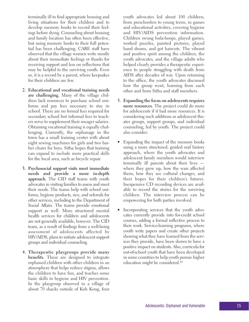ings before dying. Counseling about housing and family location has often been effective, but using memory books to their full potential has been challenging. CARE staff have observed that the village women write mostly about their immediate feelings or thanks for receiving support and less on reflections that may be helpful to the surviving youth. Even so, it is a record by a parent, where keepsakes for their children are few. **2. Educational and vocational training needs are challenging.** Many of the village chil-

terminally ill to find appropriate housing and living situations for their children and to develop memory books to record their feel-

- dren lack resources to purchase school uniforms and pay fees necessary to stay in school. There are no formal fees required for secondary school but informal fees to teachers serve to supplement their meager salaries. Obtaining vocational training is equally challenging. Currently, the orphanage in the town has a small training center with about eight sewing machines for girls and two barber chairs for boys. Sitha hopes that training can expand to include more practical skills for the local area, such as bicycle repair.
- **3. Psychosocial support visits meet immediate needs and provide a more in-depth approach.** The CID staff teams with youth advocates in visiting families to assess and meet their needs. The teams help with school uniforms, hygiene products, rice, and referrals for other services, including to the Department of Social Affairs. The teams provide emotional support as well. More structured mental health services for children and adolescents are not generally available, however. The CID team, as a result of findings from a well-being assessment of adolescents affected by HIV/AIDS, plans to initiate adolescent support groups and individual counseling.
- **4. Therapeutic playgroups provide many benefits.** These are designed to integrate orphaned children with other children in an atmosphere that helps reduce stigma, allows the children to have fun, and teaches some basic skills in hygiene and HIV prevention. In the playgroup observed in a village of about 70 shacks outside of Koh Kong, four

youth advocates led about 100 children, from preschoolers to young teens, in games and educational activities, covering hygiene and HIV/AIDS prevention information. Children swung hula-hoops, played games, worked puzzles, painted pictures, played hand drums, and got haircuts. The vibrant and positive spirit among the children, the youth advocates, and the village adults who helped clearly provides a therapeutic experience to people struggling with death from AIDS after decades of war. Upon returning to the office, the youth advocates discussed how the group went, learning from each other and from Sitha and staff members.

- **5. Expanding the focus on adolescents requires more resources.** The project could do more for adolescents if it had more resources. It is considering such additions as adolescent theater groups, support groups, and individual counseling, led by youth. The project could also consider:
- Expanding the impact of the memory books using a more structured, guided oral history approach, where the youth advocates and adolescent family members would interview terminally ill parents about their lives where they grew up, how the wars affected them, how they see cultural changes, and their hopes for their children's futures. Inexpensive CD recording devices are available to record the stories for the surviving children. The interview process can be empowering for both parties involved.
- Incorporating services that the youth advocates currently provide into for-credit school courses, adding a formal reflective process to their work. Service-learning programs, where youth write papers and create other projects showing what they have learned from the services they provide, have been shown to have a positive impact on students. Also, curricula for out-of-school youth that have been developed in some countries to help youth pursue higher education might be considered.30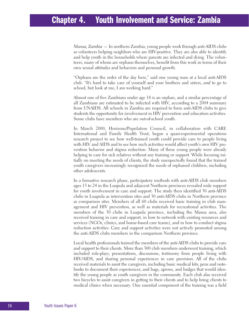# **Chapter 4. Youth Involvement and Service: Zambia**

*Mansa, Zambia* — In northern Zambia, young people work through anti-AIDS clubs as volunteers helping neighbors who are HIV-positive. They are also able to identify and help youth in the households where parents are infected and dying. The volunteers, many of whom are orphans themselves, benefit from this work in terms of their own sexual attitudes and behaviors and personal growth.

"Orphans are the order of the day here," said one young man at a local anti-AIDS club. "It's hard to take care of yourself and your brothers and sisters, *and* to go to school, but look at me, I am working hard."

Almost one of five Zambians under age 18 is an orphan, and a similar percentage of all Zambians are estimated to be infected with HIV, according to a 2004 summary from UNAIDS. All schools in Zambia are required to form anti-AIDS clubs to give students the opportunity for involvement in HIV prevention and education activities. Some clubs have members who are out-of-school youth.

In March 2000, Horizons/Population Council, in collaboration with CARE International and Family Health Trust, began a quasi-experimental operations research project to see how well-trained youth could provide care to people living with HIV and AIDS and to see how such activities would affect youth's own HIV prevention behavior and stigma reduction. Many of these young people were already helping to care for sick relatives without any training or support. While focusing intially on meeting the needs of clients, the study unexpectedly found that the trained youth caregivers increasingly recognized the needs of orphaned children, including other adolescents.

In a formative research phase, participatory methods with anti-AIDS club members ages 13 to 24 in the Luapula and adjacent Northern provinces revealed wide support for youth involvement in care and support. The study then identified 30 anti-AIDS clubs in Luapula as intervention sites and 30 anti-AIDS clubs in Northern province as comparison sites. Members of all 60 clubs received basic training in club management and HIV prevention, as well as materials for recreational activities. The members of the 30 clubs in Luapula province, including the Mansa area, also received training in care and support, in how to network with existing resources and services (NGOs, clinics, and home-based care teams), and in how to conduct stigma reduction activities. Care and support activities were not actively promoted among the anti-AIDS clubs members in the comparison Northern province.

Local health professionals trained the members of the anti-AIDS clubs to provide care and support to their clients. More than 300 club members underwent training, which included role-plays, presentations, discussions, testimony from people living with HIV/AIDS, and sharing personal experiences in care provision. All of the clubs received materials to assist the caregivers, including basic medical kits; pens and notebooks to document their experiences; and bags, aprons, and badges that would identify the young people as youth caregivers in the community. Each club also received two bicycles to assist caregivers in getting to their clients and to help bring clients to medical clinics when necessary. One essential component of the training was a field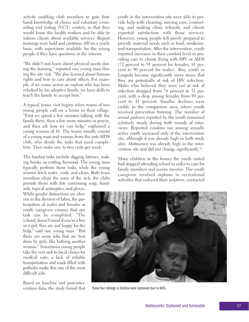activity enabling club members to gain firsthand knowledge of clinics and voluntary counseling and testing (VCT) centers, so that they would know the health workers and be able to inform clients about available services. Repeat trainings were held and continue still on a yearly basis, with supervisors available for the young people if they have questions in the interim.

"We didn't just learn about physical needs during the training," reported one young man during the site visit. "We also learned about human rights and how to care about others. For example, if we come across an orphan who has been rebuked by his adoptive family, we have skills to teach the family to accept him."

A typical home visit begins when teams of two young people call on a home in their village. "First we spend a few minutes talking with the family there, then a few more minutes in prayer, and then ask how we can help," explained a young woman of 16. The teams usually consist of a young man and woman from the anti-AIDS club, who divide the tasks that need completion. They make one to two visits per week.

The hardest tasks include digging latrines, making bricks, or cutting firewood. The young men typically perform these tasks, while the young women fetch water, cook, and clean. Both team members clean the sores of the sick; the clubs provide them with kits containing soap, bandaids, topical antiseptics, and gloves.

While gender distinctions are obvious in the division of labor, the participation of males and females as youth caregivers ensures that any task can be completed. "The [client] doesn't mind if you're a boy or a girl, they are just happy for the help," said one young man. "But there are some jobs that are best done by girls, like bathing another woman." Sometimes young people take the very sick to local clinics for medical care; a lack of reliable transportation and roads filled with potholes make this one of the most difficult jobs.

Based on baseline and post-intervention data, the study found that youth in the intervention site were able to provide help with cleaning, nursing care, counseling, and making clinic referrals, and clients reported satisfaction with those services. However, young people felt poorly prepared to provide material needs such as food, medicine, and transportation. After the intervention, youth reported increases in their comfort level in providing care to clients living with HIV or AIDS (72 percent to 91 percent for females; 81 percent to 90 percent for males). Also, youth in Luapula became significantly more aware that they are potentially at risk of HIV infection. Males who believed they were not at risk of infection dropped from 76 percent to 31 percent, with a drop among females from 89 percent to 41 percent. Smaller declines were visible in the comparison area, where youth received prevention training. The number of sexual partners reported by the youth remained relatively steady during both rounds of interviews. Reported condom use among sexually active youth increased only at the intervention site, although it was already high in both study sites. Abstinence was already high in the intervention site and did not change significantly.31

Many children in the homes the youth visited had stopped attending school in order to care for family members and secure income. The youth caregivers involved orphans in recreational activities that reduced their isolation, contacted



These four siblings in Zambia were orphaned due to AIDS.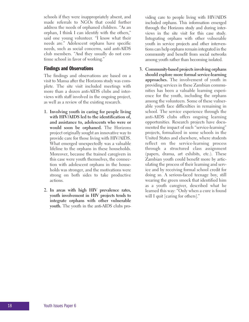schools if they were inappropriately absent, and made referrals to NGOs that could further address the needs of orphaned children. "As an orphan, I think I can identify with the others," said one young volunteer. "I know what their needs are." Adolescent orphans have specific needs, such as social concerns, said anti-AIDS club members. "And they usually do not continue school in favor of working."

### **Findings and Observations**

The findings and observations are based on a visit to Mansa after the Horizons study was complete. The site visit included meetings with more than a dozen anti-AIDS clubs and interviews with staff involved in the ongoing project, as well as a review of the existing research.

- **1. Involving youth in caring for people living with HIV/AIDS led to the identification of, and assistance to, adolescents who were or would soon be orphaned.** The Horizons project originally sought an innovative way to provide care for those living with HIV/AIDS. What emerged unexpectedly was a valuable lifeline to the orphans in these households. Moreover, because the trained caregivers in this case were youth themselves, the connection with adolescent orphans in the households was stronger, and the motivations were strong on both sides to take productive actions.
- **2. In areas with high HIV prevalence rates, youth involvement in HIV projects tends to integrate orphans with other vulnerable youth.** The youth in the anti-AIDS clubs pro-

viding care to people living with HIV/AIDS included orphans. This information emerged through the Horizons study and during interviews in the site visit for this case study. Integrating orphans with other vulnerable youth in service projects and other interventions can help orphans remain integrated in the community and benefit from social networks among youth rather than becoming isolated.

**3. Community-based projects involving orphans should explore more formal service-learning approaches.** The involvement of youth in providing services in these Zambian communities has been a valuable learning experience for the youth, including the orphans among the volunteers. Some of these vulnerable youth face difficulties in remaining in school. The service experience through the anti-AIDS clubs offers ongoing learning opportunities. Research projects have documented the impact of such "service-learning" projects, formalized in some schools in the United States and elsewhere, where students reflect on the service-learning process through a structured class assignment (papers, drama, art exhibits, etc.). These Zambian youth could benefit more by articulating the process of their learning and service and by receiving formal school credit for doing so. A serious-faced teenage boy, still wearing the green smock that identified him as a youth caregiver, described what he learned this way: "Only when a cure is found will I quit [caring for others]."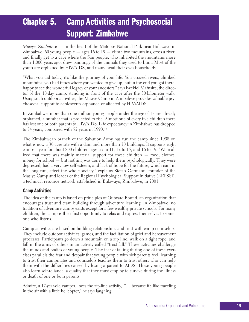# **Chapter 5. Camp Activities and Psychosocial Support: Zimbabwe**

*Masiye, Zimbabwe* — In the heart of the Matopos National Park near Bulawayo in Zimbabwe, 60 young people  $-$  ages 16 to 19  $-$  climb two mountains, cross a river, and finally get to a cave where the San people, who inhabited the mountains more than 1,000 years ago, drew paintings of the animals they used to hunt. Most of the youth are orphaned by HIV/AIDS, and many head their own households.

"What you did today, it's like the journey of your life. You crossed rivers, climbed mountains, you had times where you wanted to give up, but in the end you got there, happy to see the wonderful legacy of your ancestors," says Ezekiel Mafusire, the director of the 10-day camp, standing in front of the cave after the 30-kilometer walk. Using such outdoor activities, the Masiye Camp in Zimbabwe provides valuable psychosocial support to adolescents orphaned or affected by HIV/AIDS.

In Zimbabwe, more than one million young people under the age of 18 are already orphaned, a number that is projected to rise. Almost one of every five children there has lost one or both parents to HIV/AIDS. Life expectancy in Zimbabwe has dropped to 34 years, compared with 52 years in 1990.32

The Zimbabwean branch of the Salvation Army has run the camp since 1998 on what is now a 30-acre site with a dam and more than 30 buildings. It supports eight camps a year for about 800 children ages six to 11, 12 to 15, and 16 to 19. "We realized that there was mainly material support for these children — food, clothes, money for school — but nothing was done to help them psychologically. They were depressed, had a very low self-esteem, and lack of hope for the future, which can, in the long run, affect the whole society," explains Stefan Germann, founder of the Masiye Camp and leader of the Regional Psychological Support Initiative (REPSSI), a technical resource network established in Bulawayo, Zimbabwe, in 2001.

### **Camp Activities**

The idea of the camp is based on principles of Outward Bound, an organization that encourages trust and team building through adventure learning. In Zimbabwe, no tradition of adventure camps exists except for a few wealthy private schools. For many children, the camp is their first opportunity to relax and express themselves to someone who listens.

Camp activities are based on building relationships and trust with camp counselors. They include outdoor activities, games, and the facilitation of grief and bereavement processes. Participants go down a mountain on a zip line, walk on a tight rope, and fall in the arms of others in an activity called "trust fall." These activities challenge the minds and bodies of young people. The fear of falling during one of these exercises parallels the fear and despair that young people with sick parents feel; learning to trust their campmates and counselors teaches them to trust others who can help them with the difficulties caused by losing a parent to AIDS. These young people also learn self-reliance, a quality that they must employ to survive during the illness or death of one or both parents.

Admire, a 17-year-old camper, loves the zip-line activity, "… because it's like traveling in the air with a little helicopter," he says laughing.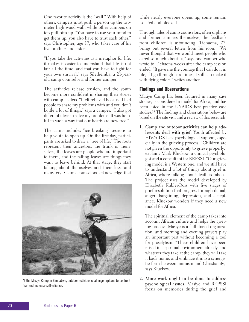One favorite activity is the "wall." With help of others, campers must push a person up the twometer high wood wall, while other campers on top pull him up. "You have to use your mind to get them up, you also have to trust each other," says Christopher, age 17, who takes care of his five brothers and sisters.

"If you take the activities as a metaphor for life, it makes it easier to understand that life is not fair all the time, and that you have to fight for your own survival," says Silethemba, a 21-yearold camp counselor and former camper.

The activities release tension, and the youth become more confident in sharing their stories with camp leaders. "I felt relieved because I had people to share my problems with and you don't bottle a lot of things," says a camper. "I also got different ideas to solve my problems. It was helpful in such a way that our hearts are now free."

The camp includes "ice breaking" sessions to help youth to open up. On the first day, participants are asked to draw a "tree of life." The roots represent their ancestors, the trunk is themselves, the leaves are people who are important to them, and the falling leaves are things they want to leave behind. At that stage, they start talking about themselves and their loss, and many cry. Camp counselors acknowledge that



At the Masiye Camp in Zimbabwe, outdoor activities challenge orphans to confront fear and increase self-reliance.

while nearly everyone opens up, some remain isolated and blocked.

Through tales of camp counselors, often orphans and former campers themselves, the feedback from children is astounding. Tichaona, 27, brings out several letters from his room. "We never thought that we would meet people who cared so much about us," says one camper who wrote to Tichaona weeks after the camp session ended. "It gave me the courage that I can do it in life, if I go through hard times, I still can make it with flying colors," writes another.

### **Findings and Observations**

Masiye Camp has been featured in many case studies, is considered a model for Africa, and has been listed in the UNAIDS best practice case studies.33 The findings and observations below are based on the site visit and a review of this research.

**1. Camp and outdoor activities can help adolescents deal with grief.** Youth affected by HIV/AIDS lack psychological support, especially in the grieving process. "Children are not given the opportunity to grieve properly," explains Mark Kluckow, a clinical psychologist and a consultant for REPSSI. "Our grieving model is a Western one, and we still have to understand a lot of things about grief in Africa, where talking about death is taboo." The project uses the model developed by Elizabeth Kübler-Ross with five stages of grief resolution that progress through denial, anger, bargaining, depression, and acceptance. Kluckow wonders if they need a new model for Africa.

The spiritual element of the camp takes into account African culture and helps the grieving process. Masiye is a faith-based organization, and morning and evening prayers play an important part without becoming a tool for proselytism. "These children have been raised in a spiritual environment already, and whatever they take at the camp, they will take it back home, and embrace it into a synergistic form between animism and Christianity," says Kluckow.

**2. More work ought to be done to address psychological issues.** Masiye and REPSSI focus on memories during the grief and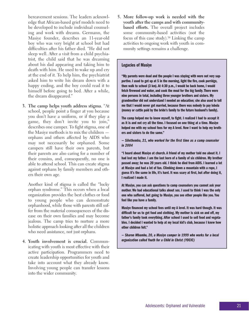bereavement sessions. The leaders acknowledge that African-based grief models need to be developed to include individual counseling and work with dreams. Germann, the Masiye founder, describes an 11-year-old boy who was very bright at school but had difficulties after his father died. "He did not sleep well. After a visit from a child psychiatrist, the child said that he was dreaming about his dad appearing and taking him to death with him. He used to wake up and cry at the end of it. To help him, the psychiatrist asked him to write his dream down with a happy ending, and the boy could read it to himself before going to bed. After a while, the dream disappeared."

**3. The camp helps youth address stigma.** "At school, people point a finger at you because you don't have a uniform, or if they play a game, they don't invite you to join," describes one camper. To fight stigma, one of the Masiye methods is to mix the children orphans and others affected by AIDS who may not necessarily be orphaned. Some campers still have their own parents, but their parents are also caring for a number of their cousins, and, consequently, no one is able to attend school. This can create stigma against orphans by family members and others their own age.

Another kind of stigma is called the "lucky orphan syndrome." This occurs when a local organization provides the best clothes or food to young people who can demonstrate orphanhood, while those with parents still suffer from the material consequences of the disease on their own families and may become jealous. The camp tries to nurture a more holistic approach looking after all the children who need assistance, not just orphans.

**4. Youth involvement is crucial.** Communicating with youth is most effective with their active participation. Programmers need to create leadership opportunities for youth and take into account what they already know. Involving young people can transfer lessons into the wider community.

**5. More follow-up work is needed with the youth after the camps and with communitybased efforts.** The overall project includes some community-based activities (not the focus of this case study).34 Linking the camp activities to ongoing work with youth in community settings remains a challenge.

### **Legacies of Masiye**

**"My parents were dead and the people I was staying with were not very supportive. I used to get up at 5 in the morning, light the fire, cook porridge, then walk to school (3 km). At 4:30 p.m., I would be back home, I would fetch firewood and water, and cook the meal for the big family. There were nine persons in total, including three younger brothers and sisters. My grandmother did not understand I needed an education; she also used to tell me that I would never get married, because there was nobody to pay lobola (money or cattle paid by the bride's family to the future husband's family).**

**The camp helped me to know myself, to fight. I realized I had to accept it as it is and not cry all the time. I focused on one thing at a time. Masiye helped me with my school fees for my A level. Now I want to help my brothers and sisters to do the same."**

*— Silethemba, 21, who worked for the first time as a camp counselor in 2004*

**"I heard about Masiye at church. A friend of my mother told me about it. I had lost my father. I am the last born of a family of six children. My brother passed away; he was 20 years old. I think he died from AIDS. I learned a lot at Masiye and had a lot of fun. Climbing down a mountain with a rope, I guess it's the same in life, it's hard. It was scary at first, but after doing it, I realized I made it.**

**At Masiye, you can ask questions to camp counselors you cannot ask your mother. We had educational talks about sex. I used to think I was the only one who suffered, but going to Masiye, you see other people like you. You feel like you have a family.**

**Masiye financed my school fees until my A level. It was hard though. It was difficult for us to get food and clothing. My mother is sick on and off, my father's family took everything. After school I used to sell food and vegetables. I decided I wanted to help at my local kid's club, because I knew how other children felt."**

*— Sharon Mbambo, 20, a Masiye camper in 1999 who works for a local organization called Youth for a Child in Christ (YOCIC)*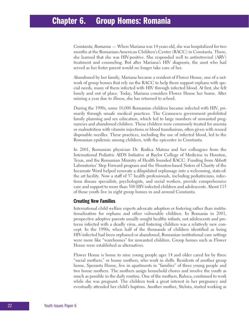## **Chapter 6. Group Homes: Romania**

*Constanta, Romania* — When Mariana was 14 years old, she was hospitalized for two months at the Romanian-American Children's Center (RACC) in Constanta. There, she learned that she was HIV-positive. She responded well to antiretroviral (ARV) treatment and counseling. But after Mariana's HIV diagnosis, the aunt who had served as her foster parent would no longer take care of her.

Abandoned by her family, Mariana became a resident of Flower House, one of a network of group homes that rely on the RACC to help them support orphans with special needs, many of them infected with HIV through infected blood. At first, she felt lonely and out of place. Today, Mariana considers Flower House her home. After missing a year due to illness, she has returned to school.

During the 1990s, some 10,000 Romanian children became infected with HIV, primarily through unsafe medical practices. The Ceausescu government prohibited family planning and sex education, which led to large numbers of unwanted pregnancies and abandoned children. These children were commonly treated for anemia or malnutrition with vitamin injections or blood transfusions, often given with reused disposable needles. These practices, including the use of infected blood, led to the Romanian epidemic among children, with the epicenter in Constanta.

In 2001, Romanian physician Dr. Rodica Matusa and her colleagues from the International Pediatric AIDS Initiative at Baylor College of Medicine in Houston, Texas, and the Romanian Ministry of Health founded RACC. Funding from Abbott Laboratories' Step Forward program and the Houston-based Sisters of Charity of the Incarnate Word helped renovate a dilapidated orphanage into a welcoming, state-ofthe art facility. Now a staff of 37 health professionals, including pediatricians, infectious disease specialists, psychologists, and social workers, provide comprehensive care and support to more than 500 HIV-infected children and adolescents. About 115 of those youth live in eight group homes in and around Constanta.

### **Creating New Families**

International child welfare experts advocate adoption or fostering rather than institutionalization for orphans and other vulnerable children. In Romania in 2001, prospective adoptive parents usually sought healthy infants, not adolescents and preteens infected with a deadly virus, and fostering children was a relatively new concept. In the 1990s, when half of the thousands of children identified as being HIV-infected had been orphaned or abandoned, Romanian institutional care settings were more like "warehouses" for unwanted children. Group homes such as Flower House were established as alternatives.

Flower House is home to nine young people ages 14 and older cared for by three "social mothers," or house mothers, who work in shifts. Residents of another group home, Speranta House, live in apartments in "families" of three young people and two house mothers. The mothers assign household chores and involve the youth as much as possible in the daily routine. One of the mothers, Raluca, continued to work while she was pregnant. The children took a great interest in her pregnancy and eventually attended her child's baptism. Another mother, Steluta, started working as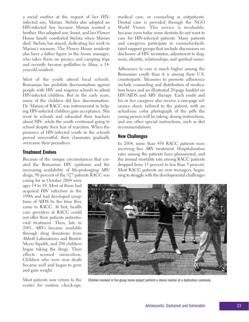a social mother at the request of her HIVinfected son, Marian. Steluta also adopted an HIV-infected boy because Marian wanted a brother. Her adopted son, Ionut, and her Flower House family comforted Steluta when Marian died. Steluta has stayed, dedicating her work to Marian's memory. The Flower House residents also have a father figure in the house manager, who takes them on picnics and camping trips and recently became godfather to Alina, a 14 year-old resident.

Most of the youth attend local schools. Romanian law prohibits discrimination against people with HIV and requires schools to admit HIV-infected children. But in the early years, many of the children did face discrimination. Dr. Matusa of RACC was instrumental in helping HIV-infected children gain acceptance. She went to schools and educated their teachers about HIV, while the youth continued going to school despite their fear of rejection. When the presence of HIV-infected youth in the schools proved uneventful, their classmates gradually overcame their prejudices.

### **Treatment Evolves**

Because of the unique circumstances that created the Romanian HIV epidemic and the increasing availability of life-prolonging ARV drugs, 98 percent of the 527 patients RACC was

caring for in October 2004 were ages 14 to 19. Most of them had acquired HIV infection in the 1990s and had developed symptoms of AIDS by the time they came to RACC. At first, health care providers at RACC could not offer their patients antiretroviral treatment. Then, late in 2001, ARVs became available through drug donations from Abbott Laboratories and Bristol-Myers Squibb, and 200 children began taking the drugs. Their effects seemed miraculous. Children who were near death became well and began to grow and gain weight.

Most patients now return to the center for routine check-ups,

medical care, or counseling as outpatients. Dental care is provided through the NGO World Vision. This service is invaluable, because even today some dentists do not want to care for HIV-infected patients. Many patients and caregivers participate in counselor-facilitated support groups that include discussions on disclosure of HIV serostatus, adjustment to diagnosis, identity, relationships, and spiritual issues.

Adherence to care is much higher among the Romanian youth than it is among their U.S. counterparts. Measures to promote adherence include counseling and distribution of medication boxes and an illustrated 20-page booklet on HIV/AIDS and ARV therapy. Each youth and his or her caregiver also receive a one-page reference sheet, tailored to the patient, with an actual-size color photograph of the pills the young person will be taking, dosing instructions, and any other special instructions, such as diet recommendations.

### **New Challenges**

In 2004, more than 450 RACC patients were receiving free ARV treatment. Hospitalization rates among the patients have plummeted, and the annual mortality rate among RACC patients dropped from 15 percent to less than 3 percent. Most RACC patients are now teenagers, beginning to struggle with the developmental challenges



Children involved in the group home project perform a dance routine at a dedication ceremony.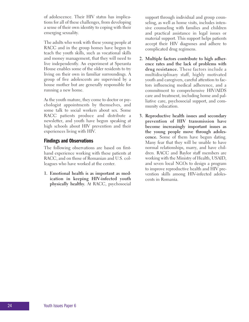of adolescence. Their HIV status has implications for all of these challenges, from developing a sense of their own identity to coping with their emerging sexuality.

The adults who work with these young people at RACC and in the group homes have begun to teach the youth skills, such as vocational skills and money management, that they will need to live independently. An experiment at Speranta House enables some of the older residents to try living on their own in familiar surroundings. A group of five adolescents are supervised by a house mother but are generally responsible for running a new home.

As the youth mature, they come to doctor or psychologist appointments by themselves, and some talk to social workers about sex. Some RACC patients produce and distribute a newsletter, and youth have begun speaking at high schools about HIV prevention and their experiences living with HIV.

### **Findings and Observations**

The following observations are based on firsthand experience working with these patients at RACC, and on those of Romanian and U.S. colleagues who have worked at the center.

**1. Emotional health is as important as medication in keeping HIV-infected youth physically healthy.** At RACC, psychosocial

support through individual and group counseling, as well as home visits, includes intensive counseling with families and children and practical assistance in legal issues or material support. This support helps patients accept their HIV diagnoses and adhere to complicated drug regimens.

- **2. Multiple factors contribute to high adherence rates and the lack of problems with drug resistance.** These factors include a multidisciplinary staff, highly motivated youth and caregivers, careful attention to factors influencing medical adherence, and a commitment to comprehensive HIV/AIDS care and treatment, including home and palliative care, psychosocial support, and community education.
- **3. Reproductive health issues and secondary prevention of HIV transmission have become increasingly important issues as the young people move through adolescence.** Some of them have begun dating. Many fear that they will be unable to have normal relationships, marry, and have children. RACC and Baylor staff members are working with the Ministry of Health, USAID, and seven local NGOs to design a program to improve reproductive health and HIV prevention skills among HIV-infected adolescents in Romania.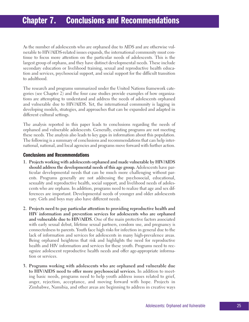As the number of adolescents who are orphaned due to AIDS and are otherwise vulnerable to HIV/AIDS-related issues expands, the international community must continue to focus more attention on the particular needs of adolescents. This is the largest group of orphans, and they have distinct developmental needs. These include secondary education or livelihood training, sexual and reproductive health education and services, psychosocial support, and social support for the difficult transition to adulthood.

The research and programs summarized under the United Nations framework categories (see Chapter 2) and the four case studies provide examples of how organizations are attempting to understand and address the needs of adolescents orphaned and vulnerable due to HIV/AIDS. Yet, the international community is lagging in developing models, strategies, and approaches that can be expanded and adapted in different cultural settings.

The analysis reported in this paper leads to conclusions regarding the needs of orphaned and vulnerable adolescents. Generally, existing programs are not meeting these needs. The analysis also leads to key gaps in information about this population. The following is a summary of conclusions and recommendations that can help international, national, and local agencies and programs move forward with further action.

### **Conclusions and Recommendations**

- **1. Projects working with adolescents orphaned and made vulnerable by HIV/AIDS should address the developmental needs of this age group.** Adolescents have particular developmental needs that can be much more challenging without parents. Programs generally are not addressing the psychosocial, educational, sexuality and reproductive health, social support, and livelihood needs of adolescents who are orphans. In addition, programs need to realize that age and sex differences are important. Developmental needs of younger and older adolescents vary. Girls and boys may also have different needs.
- **2. Projects need to pay particular attention to providing reproductive health and HIV information and prevention services for adolescents who are orphaned and vulnerable due to HIV/AIDS.** One of the main protective factors associated with early sexual debut, lifetime sexual partners, condom use, and pregnancy is connectedness to parents. Youth face high risks for infection in general due to the lack of information and services for adolescents in many high-prevalence areas. Being orphaned heightens that risk and highlights the need for reproductive health and HIV information and services for these youth. Programs need to recognize adolescent reproductive health needs and offer age-appropriate information or services.
- **3. Programs working with adolescents who are orphaned and vulnerable due to HIV/AIDS need to offer more psychosocial services.** In addition to meeting basic needs, programs need to help youth address issues related to grief, anger, rejection, acceptance, and moving forward with hope. Projects in Zimbabwe, Namibia, and other areas are beginning to address in creative ways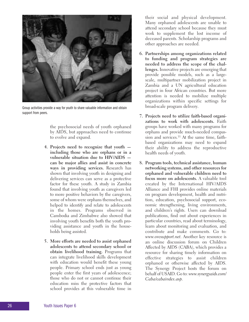

Group activities provide a way for youth to share valuable information and obtain support from peers.

the psychosocial needs of youth orphaned by AIDS, but approaches need to continue to evolve and expand.

- **4. Projects need to recognize that youth including those who are orphans or in a vulnerable situation due to HIV/AIDS can be major allies and assist in concrete ways in providing services.** Research has shown that involving youth in designing and delivering services can serve as a protective factor for these youth. A study in Zambia found that involving youth as caregivers led to more positive behaviors by the caregivers, some of whom were orphans themselves, and helped to identify and relate to adolescents in the homes. Programs observed in Cambodia and Zimbabwe also showed that involving youth benefits both the youth providing assistance and youth in the households being assisted.
- **5. More efforts are needed to assist orphaned adolescents to attend secondary school or obtain livelihood training.** Programs that can integrate livelihood skills development with education would benefit these young people. Primary school ends just as young people enter the first years of adolescence; those who do not or cannot continue their education miss the protective factors that school provides at this vulnerable time in

their social and physical development. Many orphaned adolescents are unable to attend secondary school because they must work to supplement the lost income of deceased parents. Scholarship programs and other approaches are needed.

- **6. Partnerships among organizations related to funding and program strategies are needed to address the scope of the challenges.** Innovative projects are emerging that provide possible models, such as a largescale, multipartner mobilization project in Zambia and a UN agricultural education project in four African countries. But more attention is needed to mobilize multiple organizations within specific settings for broad-scale program delivery.
- **7. Projects need to utilize faith-based organizations to work with adolescents.** Faith groups have worked with many programs for orphans and provide much-needed compassion and services.<sup>35</sup> At the same time, faithbased organizations may need to expand their ability to address the reproductive health needs of youth.
- **8. Program tools, technical assistance, human networking systems, and other resources for orphaned and vulnerable children need to focus more on adolescents.** A valuable tool created by the International HIV/AIDS Alliance and FHI provides online materials on program development, health and nutrition, education, psychosocial support, economic strengthening, living environments, and children's rights. Users can download publications, find out about experiences in particular countries, read about terminology, learn about monitoring and evaluation, and contribute and make comments. Go to: *www.ovcsupport.net*. Another key resource is an online discussion forum on Children Affected by AIDS (CABA), which provides a resource for sharing timely information on effective strategies to assist children orphaned or otherwise affected by AIDS. The Synergy Project hosts the forum on behalf of USAID. Go to: *www.synergyaids.com/ Caba/cabaindex.asp*.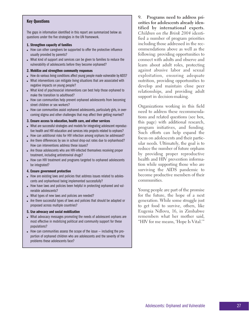### **Key Questions**

The gaps in information identified in this report are summarized below as questions under the five strategies in the UN framework.

#### **1. Strengthen capacity of families**

- How can other caregivers be supported to offer the protective influence usually provided by parents?
- What kind of support and services can be given to families to reduce the vulnerability of adolescents before they become orphaned?

### **2. Mobilize and strengthen community responses**

- How do various living conditions affect young people made vulnerable by AIDS?
- What interventions can mitigate living situations that are associated with negative impacts on young people?
- What kind of psychosocial interventions can best help those orphaned to make the transition to adulthood?
- How can communities help prevent orphaned adolescents from becoming street children or sex workers?
- How can communities assist orphaned adolescents, particularly girls, in overcoming stigma and other challenges that may affect their getting married?

### **3. Ensure access to education, health care, and other services**

- What are successful strategies and models for integrating adolescent reproductive health and HIV education and services into projects related to orphans?
- How can additional risks for HIV infection among orphans be addressed?
- Are there differences by sex in school drop-out rates due to orphanhood? How can interventions address these issues?
- Are those adolescents who are HIV-infected themselves receiving proper treatment, including antiretroviral drugs?
- How can HIV treatment and programs targeted to orphaned adolescents be integrated?

### **4. Ensure government protection**

- How are existing laws and policies that address issues related to adolescents and orphanhood being implemented successfully?
- How have laws and policies been helpful in protecting orphaned and vulnerable adolescents?
- What types of new laws and policies are needed?
- Are there successful types of laws and policies that should be adapted or proposed across multiple countries?

### **5. Use advocacy and social mobilization**

- What advocacy messages promoting the needs of adolescent orphans are most effective in mobilizing political and community support for these populations?
- $\bullet$  How can communities assess the scope of the issue  $-$  including the proportion of orphaned children who are adolescents and the severity of the problems these adolescents face?

**9. Programs need to address priorities for adolescents already identified by international experts.** *Children on the Brink 2004* identified a number of program priorities including those addressed in the recommendations above as well as the following: providing opportunities to connect with adults and observe and learn about adult roles, protecting against abusive labor and sexual exploitation, ensuring adequate nutrition, providing opportunities to develop and maintain close peer relationships, and providing adult support in decision-making.

Organizations working in this field need to address these recommendations and related questions (see box, this page) with additional research, program initiatives, and funding. Such efforts can help expand the focus on adolescents and their particular needs. Ultimately, the goal is to reduce the number of future orphans by providing proper reproductive health and HIV prevention information while supporting those who are surviving the AIDS pandemic to become productive members of their communities.

Young people are part of the promise for the future, the hope of a next generation. While some struggle just to get food to survive, others, like Eugenia Ndlovu, 16, in Zimbabwe remembers what her mother said, "HIV for me means, 'Hope Is Vital.'"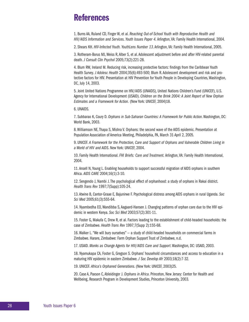### **References**

1. Burns AA, Ruland CD, Finger W, et al. *Reaching Out-of-School Youth with Reproductive Health and HIV/AIDS Information and Services. Youth Issues Paper 4.*Arlington, VA: Family Health International, 2004.

2. Shears KH. *HIV-Infected Youth. YouthLens Number 13*. Arlington, VA: Family Health International, 2005.

3. Rotheram-Borus MJ, Weiss R, Alber S, et al. Adolescent adjustment before and after HIV-related parental death. *J Consult Clin Psychol* 2005;73(2):221-28.

4. Blum RW, Ireland M. Reducing risk, increasing protective factors: findings from the Caribbean Youth Health Survey. *J Adolesc Health* 2004;35(6):493-500; Blum R. Adolescent development and risk and protective factors for HIV. Presentation at HIV Prevention for Youth People in Developing Countries, Washington, DC, July 14, 2003.

5. Joint United Nations Programme on HIV/AIDS (UNAIDS), United Nations Children's Fund (UNICEF), U.S. Agency for International Development (USAID). *Children on the Brink 2004: A Joint Report of New Orphan Estimates and a Framework for Action.* (New York: UNICEF, 2004)18.

6. UNAIDS.

7. Subbarao K, Coury D. *Orphans in Sub-Saharan Countries: A Framework for Public Action*. Washington, DC: World Bank, 2003.

8. Williamson NE, Thapa S, Mishra V. Orphans: the second wave of the AIDS epidemic. Presentation at Population Association of America Meeting, Philadelphia, PA, March 31-April 2, 2005.

9. UNICEF. *A Framework for the Protection, Care and Support of Orphans and Vulnerable Children Living in a World of HIV and AIDS*. New York: UNICEF, 2004.

10. Family Health International. *FHI Briefs: Care and Treatment.*Arlington, VA: Family Health International, 2004.

11. Ansell N, Young L. Enabling households to support successful migration of AIDS orphans in southern Africa. *AIDS CARE* 2004;16(1):3-10.

12. Sengendo J, Nambi J. The psychological effect of orphanhood: a study of orphans in Rakai district. *Health Trans Rev* 1997;7(Supp):105-24.

13. Atwine B, Cantor-Graae E, Bajunirwe F. Psychological distress among AIDS orphans in rural Uganda. *Soc Sci Med* 2005;61(3):555-64.

14. Nyambedha EO, Wandibba S, Aagaard-Hansen J. Changing patterns of orphan care due to the HIV epidemic in western Kenya. *Soc Sci Med* 2003;57(2):301-11.

15. Foster G, Makufa C, Drew R, et al. Factors leading to the establishment of child-headed households: the case of Zimbabwe. *Health Trans Rev* 1997;7(Supp 2):155-68.

16. Walker L. "We will bury ourselves" — a study of child-headed households on commercial farms in Zimbabwe. Harare, Zimbabwe: Farm Orphan Support Trust of Zimbabwe, n.d.

17. USAID. *Monks as Change Agents for HIV/AIDS Care and Support*. Washington, DC: USAID, 2003.

18. Nyamukapa CA, Foster G, Gregson S. Orphans' household circumstances and access to education in a maturing HIV epidemic in eastern Zimbabwe. *J Soc Develop Afr* 2003;18(2):7-32.

19. UNICEF. *Africa's Orphaned Generations*. (New York: UNICEF, 2003)25.

20. Case A, Paxson C, Ableidinger J. *Orphans in Africa*. Princeton, New Jersey: Center for Health and Wellbeing, Research Program in Development Studies, Princeton University, 2003.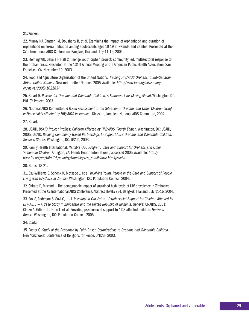### 21. Walker.

22. Murray NJ, Chatterji M, Dougherty B, et al. Examining the impact of orphanhood and duration of orphanhood on sexual initiation among adolescents ages 10-19 in Rwanda and Zambia. Presented at the XV International AIDS Conference, Bangkok, Thailand, July 11-16, 2004.

23. Fleming WO, Sakala F, Hall C. Tizenge youth orphan project: community led, multisectoral response to the orphan crisis. Presented at the 131st Annual Meeting of the American Public Health Association, San Francisco, CA, November 19, 2003.

24. Food and Agriculture Organization of the United Nations. *Training HIV/AIDS Orphans in Sub-Saharan Africa. United Nations*. New York: United Nations, 2005. Available: *http://www.fao.org/newsroom/ en/news/2005/102183/*.

25. Smart R. *Policies for Orphans and Vulnerable Children: A Framework for Moving Ahead*. Washington, DC: POLICY Project, 2003.

26. National AIDS Committee. *A Rapid Assessment of the Situation of Orphans and Other Children Living in Households Affected by HIV/AIDS in Jamaica*. Kingston, Jamaica: National AIDS Committee, 2002.

27. Smart.

28. USAID. *USAID Project Profiles: Children Affected by HIV/AIDS. Fourth Edition*. Washington, DC: USAID, 2005; USAID. *Building Community-Based Partnerships to Support AIDS Orphans and Vulnerable Children. Success Stories*. Washington, DC: USAID, 2003.

29. Family Health International. *Namibia OVC Program: Care and Support for Orphans and Other Vulnerable Children*. Arlington, VA: Family Health International, accessed 2005. Available: *http:// www.fhi.org/en/HIVAIDS/country/Namibia/res\_namibiaovc.htm#psycho*.

30. Burns, 18-21.

31. Esu-Williams E, Schenk K, Motsepe J, et al. *Involving Young People in the Care and Support of People Living with HIV/AIDS in Zambia*. Washington, DC: Population Council, 2004.

32. Chitate D, Muvandi I. The demographic impact of sustained high levels of HIV prevalence in Zimbabwe. Presented at the XV International AIDS Conference, Abstract ThPeE7934, Bangkok, Thailand, July 11-16, 2004.

33. Fox S, Anderson S, Sozi C, et al. *Investing in Our Future: Psychosocial Support for Children Affected by HIV/AIDS — A Case Study in Zimbabwe and the United Republic of Tanzania*. Geneva: UNAIDS, 2001; Clarke A, Gilborn L, Dube L, et al. Providing psychosocial support to AIDS-affected children. *Horizons Report*. Washington, DC: Population Council, 2005.

34. Clarke.

35. Foster G. *Study of the Response by Faith-Based Organizations to Orphans and Vulnerable Children*. New York: World Conference of Religions for Peace, UNICEF, 2003.